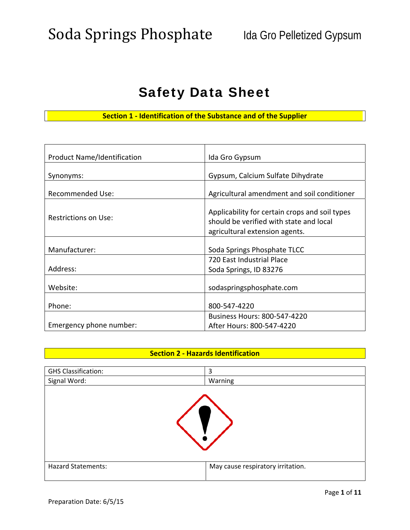## Safety Data Sheet

**Section 1 ‐ Identification of the Substance and of the Supplier**

| <b>Product Name/Identification</b> | Ida Gro Gypsum                                                                                                              |
|------------------------------------|-----------------------------------------------------------------------------------------------------------------------------|
| Synonyms:                          | Gypsum, Calcium Sulfate Dihydrate                                                                                           |
| <b>Recommended Use:</b>            | Agricultural amendment and soil conditioner                                                                                 |
| Restrictions on Use:               | Applicability for certain crops and soil types<br>should be verified with state and local<br>agricultural extension agents. |
| Manufacturer:                      | Soda Springs Phosphate TLCC                                                                                                 |
| Address:                           | 720 East Industrial Place<br>Soda Springs, ID 83276                                                                         |
| Website:                           | sodaspringsphosphate.com                                                                                                    |
| Phone:                             | 800-547-4220                                                                                                                |
| Emergency phone number:            | <b>Business Hours: 800-547-4220</b><br>After Hours: 800-547-4220                                                            |

#### **Section 2 ‐ Hazards Identification**

| <b>GHS Classification:</b> | 3                                 |
|----------------------------|-----------------------------------|
| Signal Word:               | Warning                           |
|                            |                                   |
| <b>Hazard Statements:</b>  | May cause respiratory irritation. |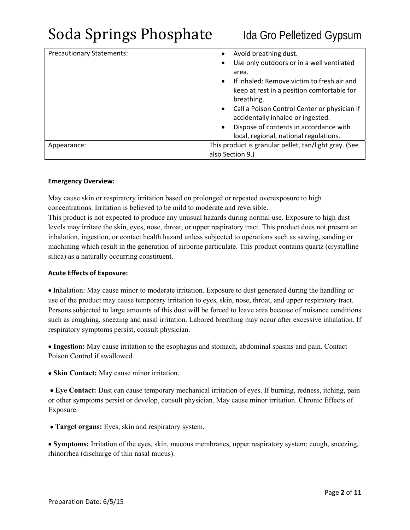| <b>Precautionary Statements:</b> | Avoid breathing dust.<br>$\bullet$                        |
|----------------------------------|-----------------------------------------------------------|
|                                  | Use only outdoors or in a well ventilated<br>$\bullet$    |
|                                  | area.                                                     |
|                                  | If inhaled: Remove victim to fresh air and<br>$\bullet$   |
|                                  | keep at rest in a position comfortable for                |
|                                  | breathing.                                                |
|                                  | Call a Poison Control Center or physician if<br>$\bullet$ |
|                                  | accidentally inhaled or ingested.                         |
|                                  | Dispose of contents in accordance with<br>$\bullet$       |
|                                  | local, regional, national regulations.                    |
| Appearance:                      | This product is granular pellet, tan/light gray. (See     |
|                                  | also Section 9.)                                          |

#### **Emergency Overview:**

May cause skin or respiratory irritation based on prolonged or repeated overexposure to high concentrations. Irritation is believed to be mild to moderate and reversible.

This product is not expected to produce any unusual hazards during normal use. Exposure to high dust levels may irritate the skin, eyes, nose, throat, or upper respiratory tract. This product does not present an inhalation, ingestion, or contact health hazard unless subjected to operations such as sawing, sanding or machining which result in the generation of airborne particulate. This product contains quartz (crystalline silica) as a naturally occurring constituent.

#### **Acute Effects of Exposure:**

 Inhalation: May cause minor to moderate irritation. Exposure to dust generated during the handling or use of the product may cause temporary irritation to eyes, skin, nose, throat, and upper respiratory tract. Persons subjected to large amounts of this dust will be forced to leave area because of nuisance conditions such as coughing, sneezing and nasal irritation. Labored breathing may occur after excessive inhalation. If respiratory symptoms persist, consult physician.

**• Ingestion:** May cause irritation to the esophagus and stomach, abdominal spasms and pain. Contact Poison Control if swallowed.

 **Skin Contact:** May cause minor irritation.

 **Eye Contact:** Dust can cause temporary mechanical irritation of eyes. If burning, redness, itching, pain or other symptoms persist or develop, consult physician. May cause minor irritation. Chronic Effects of Exposure:

 **Target organs:** Eyes, skin and respiratory system.

 **Symptoms:** Irritation of the eyes, skin, mucous membranes, upper respiratory system; cough, sneezing, rhinorrhea (discharge of thin nasal mucus).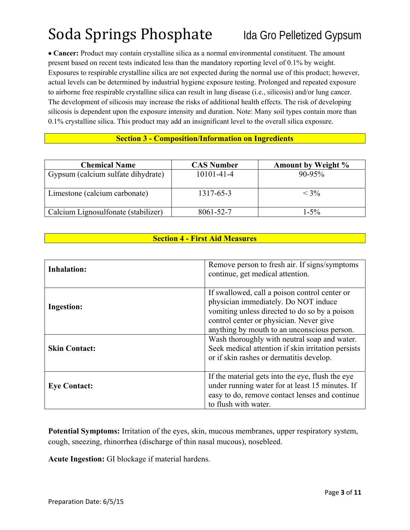**Cancer:** Product may contain crystalline silica as a normal environmental constituent. The amount present based on recent tests indicated less than the mandatory reporting level of 0.1% by weight. Exposures to respirable crystalline silica are not expected during the normal use of this product; however, actual levels can be determined by industrial hygiene exposure testing. Prolonged and repeated exposure to airborne free respirable crystalline silica can result in lung disease (i.e., silicosis) and/or lung cancer. The development of silicosis may increase the risks of additional health effects. The risk of developing silicosis is dependent upon the exposure intensity and duration. Note: Many soil types contain more than 0.1% crystalline silica. This product may add an insignificant level to the overall silica exposure.

## **Section 3 - Composition/Information on Ingredients**

| <b>Chemical Name</b>                | <b>CAS Number</b> | <b>Amount by Weight %</b> |
|-------------------------------------|-------------------|---------------------------|
| Gypsum (calcium sulfate dihydrate)  | $10101 - 41 - 4$  | $90 - 95\%$               |
| Limestone (calcium carbonate)       | 1317-65-3         | $<$ 3%                    |
| Calcium Lignosulfonate (stabilizer) | 8061-52-7         | $1 - 5\%$                 |

## **Section 4 - First Aid Measures**

| <b>Inhalation:</b>                        | Remove person to fresh air. If signs/symptoms<br>continue, get medical attention.                                                                                                                                                                                                                                                                                                  |
|-------------------------------------------|------------------------------------------------------------------------------------------------------------------------------------------------------------------------------------------------------------------------------------------------------------------------------------------------------------------------------------------------------------------------------------|
| <b>Ingestion:</b><br><b>Skin Contact:</b> | If swallowed, call a poison control center or<br>physician immediately. Do NOT induce<br>vomiting unless directed to do so by a poison<br>control center or physician. Never give<br>anything by mouth to an unconscious person.<br>Wash thoroughly with neutral soap and water.<br>Seek medical attention if skin irritation persists<br>or if skin rashes or dermatitis develop. |
| <b>Eye Contact:</b>                       | If the material gets into the eye, flush the eye<br>under running water for at least 15 minutes. If<br>easy to do, remove contact lenses and continue<br>to flush with water.                                                                                                                                                                                                      |

**Potential Symptoms:** Irritation of the eyes, skin, mucous membranes, upper respiratory system, cough, sneezing, rhinorrhea (discharge of thin nasal mucous), nosebleed.

**Acute Ingestion:** GI blockage if material hardens.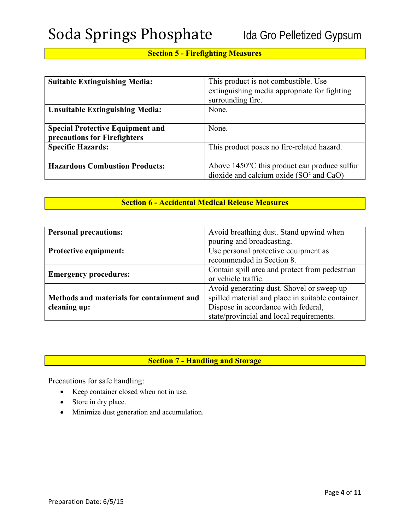| <b>Suitable Extinguishing Media:</b>    | This product is not combustible. Use                   |  |
|-----------------------------------------|--------------------------------------------------------|--|
|                                         | extinguishing media appropriate for fighting           |  |
|                                         | surrounding fire.                                      |  |
| <b>Unsuitable Extinguishing Media:</b>  | None.                                                  |  |
|                                         |                                                        |  |
| <b>Special Protective Equipment and</b> | None.                                                  |  |
| precautions for Firefighters            |                                                        |  |
| <b>Specific Hazards:</b>                | This product poses no fire-related hazard.             |  |
|                                         |                                                        |  |
| <b>Hazardous Combustion Products:</b>   | Above $1450^{\circ}$ C this product can produce sulfur |  |
|                                         | dioxide and calcium oxide (SO <sup>2</sup> and CaO)    |  |

### **Section 6 - Accidental Medical Release Measures**

| <b>Personal precautions:</b>              | Avoid breathing dust. Stand upwind when           |
|-------------------------------------------|---------------------------------------------------|
|                                           | pouring and broadcasting.                         |
| <b>Protective equipment:</b>              | Use personal protective equipment as              |
|                                           | recommended in Section 8.                         |
| <b>Emergency procedures:</b>              | Contain spill area and protect from pedestrian    |
|                                           | or vehicle traffic.                               |
|                                           | Avoid generating dust. Shovel or sweep up         |
| Methods and materials for containment and | spilled material and place in suitable container. |
| cleaning up:                              | Dispose in accordance with federal,               |
|                                           | state/provincial and local requirements.          |

## **Section 7 - Handling and Storage**

Precautions for safe handling:

- Keep container closed when not in use.
- Store in dry place.
- Minimize dust generation and accumulation.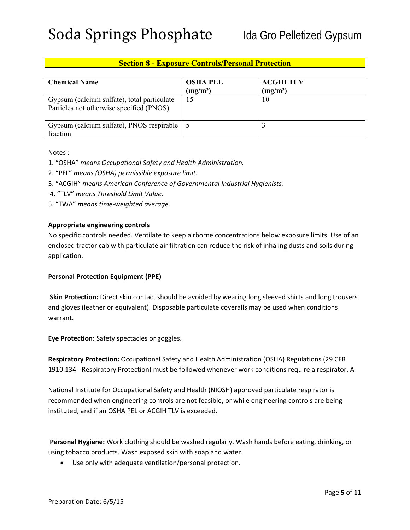| <b>Chemical Name</b>                                                                    | <b>OSHA PEL</b><br>$(mg/m^3)$ | <b>ACGIH TLV</b><br>$(mg/m^3)$ |
|-----------------------------------------------------------------------------------------|-------------------------------|--------------------------------|
| Gypsum (calcium sulfate), total particulate<br>Particles not otherwise specified (PNOS) | 15                            | 10                             |
| Gypsum (calcium sulfate), PNOS respirable   5<br>fraction                               |                               |                                |

### **Section 8 - Exposure Controls/Personal Protection**

Notes :

- 1. "OSHA" *means Occupational Safety and Health Administration.*
- 2. "PEL" *means (OSHA) permissible exposure limit.*
- 3. "ACGIH" *means American Conference of Governmental Industrial Hygienists.*
- 4. "TLV" *means Threshold Limit Value.*
- 5. "TWA" *means time‐weighted average.*

#### **Appropriate engineering controls**

No specific controls needed. Ventilate to keep airborne concentrations below exposure limits. Use of an enclosed tractor cab with particulate air filtration can reduce the risk of inhaling dusts and soils during application.

#### **Personal Protection Equipment (PPE)**

**Skin Protection:** Direct skin contact should be avoided by wearing long sleeved shirts and long trousers and gloves (leather or equivalent). Disposable particulate coveralls may be used when conditions warrant.

**Eye Protection:** Safety spectacles or goggles.

**Respiratory Protection:** Occupational Safety and Health Administration (OSHA) Regulations (29 CFR 1910.134 ‐ Respiratory Protection) must be followed whenever work conditions require a respirator. A

National Institute for Occupational Safety and Health (NIOSH) approved particulate respirator is recommended when engineering controls are not feasible, or while engineering controls are being instituted, and if an OSHA PEL or ACGIH TLV is exceeded.

**Personal Hygiene:** Work clothing should be washed regularly. Wash hands before eating, drinking, or using tobacco products. Wash exposed skin with soap and water.

Use only with adequate ventilation/personal protection.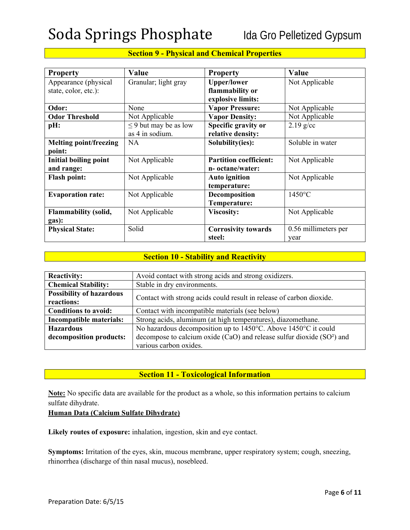| <b>Property</b>               | Value                      | <b>Property</b>               | Value                |
|-------------------------------|----------------------------|-------------------------------|----------------------|
| Appearance (physical          | Granular; light gray       | <b>Upper/lower</b>            | Not Applicable       |
| state, color, etc.):          |                            | flammability or               |                      |
|                               |                            | explosive limits:             |                      |
| Odor:                         | None                       | <b>Vapor Pressure:</b>        | Not Applicable       |
| <b>Odor Threshold</b>         | Not Applicable             | <b>Vapor Density:</b>         | Not Applicable       |
| pH:                           | $\leq$ 9 but may be as low | Specific gravity or           | $2.19$ g/cc          |
|                               | as 4 in sodium.            | relative density:             |                      |
| <b>Melting point/freezing</b> | <b>NA</b>                  | Solubility(ies):              | Soluble in water     |
| point:                        |                            |                               |                      |
| <b>Initial boiling point</b>  | Not Applicable             | <b>Partition coefficient:</b> | Not Applicable       |
| and range:                    |                            | n- octane/water:              |                      |
| <b>Flash point:</b>           | Not Applicable             | <b>Auto ignition</b>          | Not Applicable       |
|                               |                            | temperature:                  |                      |
| <b>Evaporation rate:</b>      | Not Applicable             | Decomposition                 | $1450^{\circ}$ C     |
|                               |                            | Temperature:                  |                      |
| <b>Flammability (solid,</b>   | Not Applicable             | <b>Viscosity:</b>             | Not Applicable       |
| gas):                         |                            |                               |                      |
| <b>Physical State:</b>        | Solid                      | <b>Corrosivity towards</b>    | 0.56 millimeters per |
|                               |                            | steel:                        | year                 |

## **Section 9 - Physical and Chemical Properties**

### **Section 10 - Stability and Reactivity**

| <b>Reactivity:</b>                            | Avoid contact with strong acids and strong oxidizers.                              |
|-----------------------------------------------|------------------------------------------------------------------------------------|
| <b>Chemical Stability:</b>                    | Stable in dry environments.                                                        |
| <b>Possibility of hazardous</b><br>reactions: | Contact with strong acids could result in release of carbon dioxide.               |
| <b>Conditions to avoid:</b>                   | Contact with incompatible materials (see below)                                    |
| Incompatible materials:                       | Strong acids, aluminum (at high temperatures), diazomethane.                       |
| <b>Hazardous</b>                              | No hazardous decomposition up to 1450°C. Above 1450°C it could                     |
| decomposition products:                       | decompose to calcium oxide (CaO) and release sulfur dioxide (SO <sup>2</sup> ) and |
|                                               | various carbon oxides.                                                             |

### **Section 11 - Toxicological Information**

**Note:** No specific data are available for the product as a whole, so this information pertains to calcium sulfate dihydrate.

#### **Human Data (Calcium Sulfate Dihydrate)**

**Likely routes of exposure:** inhalation, ingestion, skin and eye contact.

**Symptoms:** Irritation of the eyes, skin, mucous membrane, upper respiratory system; cough, sneezing, rhinorrhea (discharge of thin nasal mucus), nosebleed.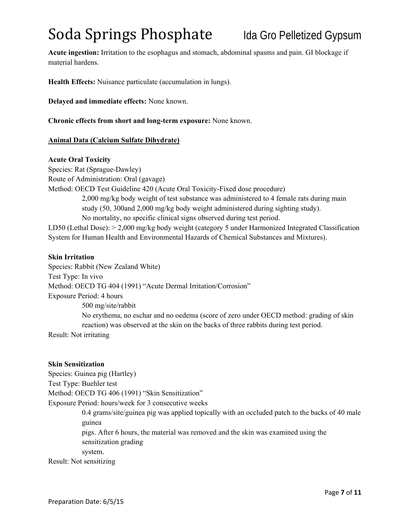**Acute ingestion:** Irritation to the esophagus and stomach, abdominal spasms and pain. GI blockage if material hardens.

**Health Effects:** Nuisance particulate (accumulation in lungs).

**Delayed and immediate effects:** None known.

**Chronic effects from short and long-term exposure:** None known.

#### **Animal Data (Calcium Sulfate Dihydrate)**

#### **Acute Oral Toxicity**

Species: Rat (Sprague-Dawley) Route of Administration: Oral (gavage) Method: OECD Test Guideline 420 (Acute Oral Toxicity-Fixed dose procedure) 2,000 mg/kg body weight of test substance was administered to 4 female rats during main study (50, 300and 2,000 mg/kg body weight administered during sighting study). No mortality, no specific clinical signs observed during test period.

LD50 (Lethal Dose): > 2,000 mg/kg body weight (category 5 under Harmonized Integrated Classification System for Human Health and Environmental Hazards of Chemical Substances and Mixtures).

#### **Skin Irritation**

Species: Rabbit (New Zealand White) Test Type: In vivo Method: OECD TG 404 (1991) "Acute Dermal Irritation/Corrosion" Exposure Period: 4 hours 500 mg/site/rabbit No erythema, no eschar and no oedema (score of zero under OECD method: grading of skin reaction) was observed at the skin on the backs of three rabbits during test period. Result: Not irritating

#### **Skin Sensitization**

Species: Guinea pig (Hartley) Test Type: Buehler test Method: OECD TG 406 (1991) "Skin Sensitization" Exposure Period: hours/week for 3 consecutive weeks 0.4 grams/site/guinea pig was applied topically with an occluded patch to the backs of 40 male guinea pigs. After 6 hours, the material was removed and the skin was examined using the sensitization grading system. Result: Not sensitizing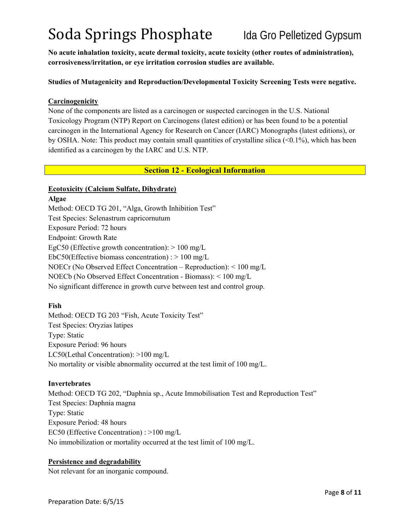**No acute inhalation toxicity, acute dermal toxicity, acute toxicity (other routes of administration), corrosiveness/irritation, or eye irritation corrosion studies are available.** 

#### **Studies of Mutagenicity and Reproduction/Developmental Toxicity Screening Tests were negative.**

#### **Carcinogenicity**

None of the components are listed as a carcinogen or suspected carcinogen in the U.S. National Toxicology Program (NTP) Report on Carcinogens (latest edition) or has been found to be a potential carcinogen in the International Agency for Research on Cancer (IARC) Monographs (latest editions), or by OSHA. Note: This product may contain small quantities of crystalline silica (<0.1%), which has been identified as a carcinogen by the IARC and U.S. NTP.

#### **Section 12 - Ecological Information**

#### **Ecotoxicity (Calcium Sulfate, Dihydrate)**

#### **Algae**

Method: OECD TG 201, "Alga, Growth Inhibition Test" Test Species: Selenastrum capricornutum Exposure Period: 72 hours Endpoint: Growth Rate EgC50 (Effective growth concentration):  $> 100$  mg/L EbC50(Effective biomass concentration) :  $> 100$  mg/L NOECr (No Observed Effect Concentration – Reproduction): < 100 mg/L NOECb (No Observed Effect Concentration - Biomass): < 100 mg/L No significant difference in growth curve between test and control group.

#### **Fish**

Method: OECD TG 203 "Fish, Acute Toxicity Test" Test Species: Oryzias latipes Type: Static Exposure Period: 96 hours LC50(Lethal Concentration): >100 mg/L No mortality or visible abnormality occurred at the test limit of 100 mg/L.

#### **Invertebrates**

Method: OECD TG 202, "Daphnia sp., Acute Immobilisation Test and Reproduction Test" Test Species: Daphnia magna Type: Static Exposure Period: 48 hours EC50 (Effective Concentration) : >100 mg/L No immobilization or mortality occurred at the test limit of 100 mg/L.

#### **Persistence and degradability**

Not relevant for an inorganic compound.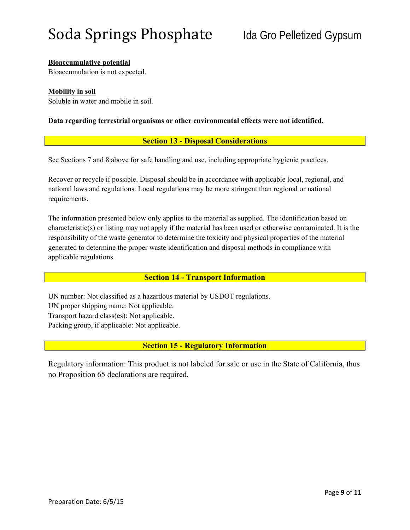### **Bioaccumulative potential**

Bioaccumulation is not expected.

#### **Mobility in soil**

Soluble in water and mobile in soil.

#### **Data regarding terrestrial organisms or other environmental effects were not identified.**

#### **Section 13 - Disposal Considerations**

See Sections 7 and 8 above for safe handling and use, including appropriate hygienic practices.

Recover or recycle if possible. Disposal should be in accordance with applicable local, regional, and national laws and regulations. Local regulations may be more stringent than regional or national requirements.

The information presented below only applies to the material as supplied. The identification based on characteristic(s) or listing may not apply if the material has been used or otherwise contaminated. It is the responsibility of the waste generator to determine the toxicity and physical properties of the material generated to determine the proper waste identification and disposal methods in compliance with applicable regulations.

### **Section 14 - Transport Information**

UN number: Not classified as a hazardous material by USDOT regulations. UN proper shipping name: Not applicable. Transport hazard class(es): Not applicable.

Packing group, if applicable: Not applicable.

**Section 15 - Regulatory Information** 

Regulatory information: This product is not labeled for sale or use in the State of California, thus no Proposition 65 declarations are required.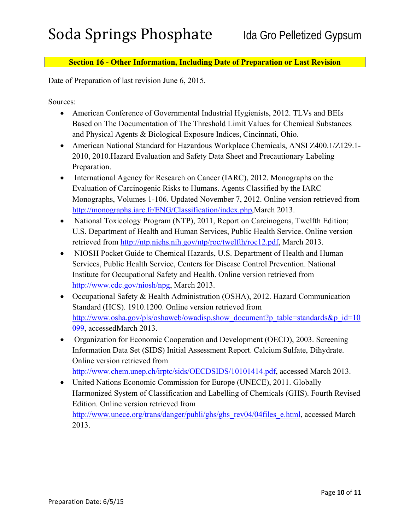### **Section 16 - Other Information, Including Date of Preparation or Last Revision**

Date of Preparation of last revision June 6, 2015.

Sources:

- American Conference of Governmental Industrial Hygienists, 2012. TLVs and BEIs Based on The Documentation of The Threshold Limit Values for Chemical Substances and Physical Agents & Biological Exposure Indices, Cincinnati, Ohio.
- American National Standard for Hazardous Workplace Chemicals, ANSI Z400.1/Z129.1- 2010, 2010.Hazard Evaluation and Safety Data Sheet and Precautionary Labeling Preparation.
- International Agency for Research on Cancer (IARC), 2012. Monographs on the Evaluation of Carcinogenic Risks to Humans. Agents Classified by the IARC Monographs, Volumes 1-106. Updated November 7, 2012. Online version retrieved from http://monographs.iarc.fr/ENG/Classification/index.php,March 2013.
- National Toxicology Program (NTP), 2011, Report on Carcinogens, Twelfth Edition; U.S. Department of Health and Human Services, Public Health Service. Online version retrieved from http://ntp.niehs.nih.gov/ntp/roc/twelfth/roc12.pdf, March 2013.
- NIOSH Pocket Guide to Chemical Hazards, U.S. Department of Health and Human Services, Public Health Service, Centers for Disease Control Prevention. National Institute for Occupational Safety and Health. Online version retrieved from http://www.cdc.gov/niosh/npg, March 2013.
- Occupational Safety & Health Administration (OSHA), 2012. Hazard Communication Standard (HCS). 1910.1200. Online version retrieved from http://www.osha.gov/pls/oshaweb/owadisp.show\_document?p\_table=standards&p\_id=10 099, accessedMarch 2013.
- Organization for Economic Cooperation and Development (OECD), 2003. Screening Information Data Set (SIDS) Initial Assessment Report. Calcium Sulfate, Dihydrate. Online version retrieved from http://www.chem.unep.ch/irptc/sids/OECDSIDS/10101414.pdf, accessed March 2013.
- United Nations Economic Commission for Europe (UNECE), 2011. Globally Harmonized System of Classification and Labelling of Chemicals (GHS). Fourth Revised Edition. Online version retrieved from http://www.unece.org/trans/danger/publi/ghs/ghs\_rev04/04files\_e.html, accessed March 2013.